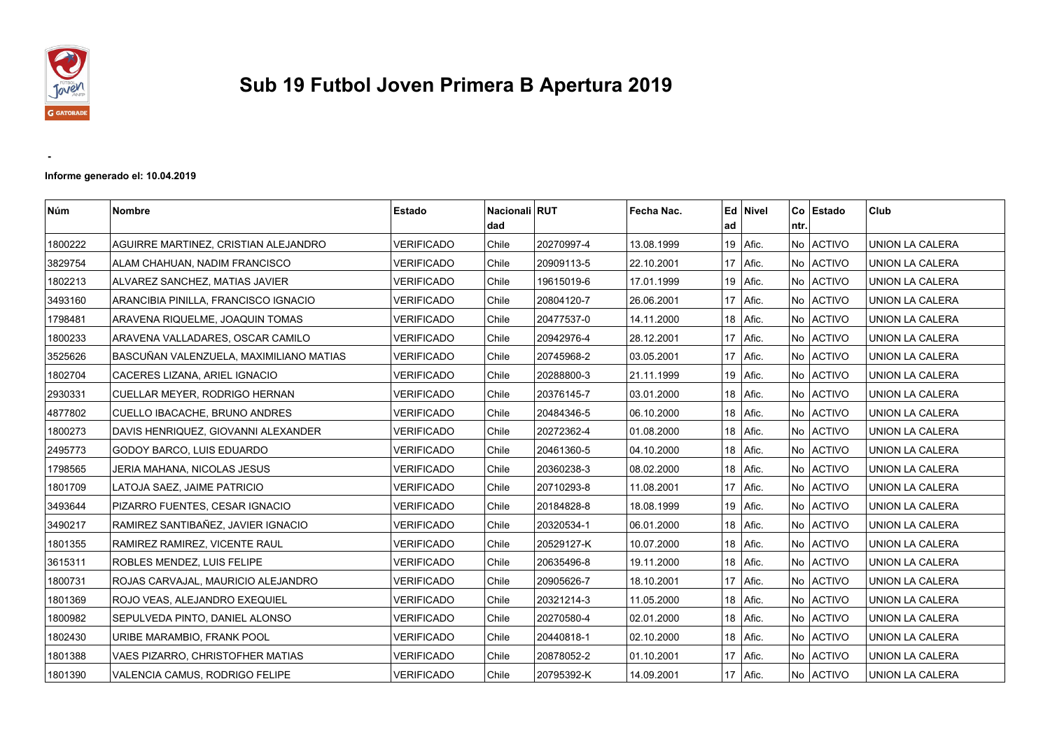

 **-** 

## **Sub 19 Futbol Joven Primera B Apertura 2019**

**Informe generado el: 10.04.2019**

| Núm     | <b>Nombre</b>                           | Estado            | Nacionali RUT<br>l dad |            | Fecha Nac. | ad | Ed Nivel     | l ntr. | Co Estado | Club                   |
|---------|-----------------------------------------|-------------------|------------------------|------------|------------|----|--------------|--------|-----------|------------------------|
| 1800222 | AGUIRRE MARTINEZ, CRISTIAN ALEJANDRO    | VERIFICADO        | Chile                  | 20270997-4 | 13.08.1999 |    | 19   Afic.   |        | No ACTIVO | UNION LA CALERA        |
| 3829754 | ALAM CHAHUAN, NADIM FRANCISCO           | <b>VERIFICADO</b> | Chile                  | 20909113-5 | 22.10.2001 |    | 17   Afic.   |        | No ACTIVO | UNION LA CALERA        |
| 1802213 | ALVAREZ SANCHEZ, MATIAS JAVIER          | <b>VERIFICADO</b> | Chile                  | 19615019-6 | 17.01.1999 |    | 19   Afic.   |        | No ACTIVO | UNION LA CALERA        |
| 3493160 | ARANCIBIA PINILLA, FRANCISCO IGNACIO    | <b>VERIFICADO</b> | Chile                  | 20804120-7 | 26.06.2001 |    | 17   Afic.   |        | No ACTIVO | UNION LA CALERA        |
| 1798481 | ARAVENA RIQUELME, JOAQUIN TOMAS         | VERIFICADO        | Chile                  | 20477537-0 | 14.11.2000 |    | 18   Afic.   |        | No ACTIVO | UNION LA CALERA        |
| 1800233 | ARAVENA VALLADARES, OSCAR CAMILO        | <b>VERIFICADO</b> | Chile                  | 20942976-4 | 28.12.2001 |    | 17   Afic.   |        | No ACTIVO | UNION LA CALERA        |
| 3525626 | BASCUÑAN VALENZUELA, MAXIMILIANO MATIAS | <b>VERIFICADO</b> | Chile                  | 20745968-2 | 03.05.2001 |    | $17$   Afic. |        | No ACTIVO | UNION LA CALERA        |
| 1802704 | CACERES LIZANA, ARIEL IGNACIO           | VERIFICADO        | Chile                  | 20288800-3 | 21.11.1999 |    | 19   Afic.   |        | No ACTIVO | UNION LA CALERA        |
| 2930331 | CUELLAR MEYER, RODRIGO HERNAN           | <b>VERIFICADO</b> | Chile                  | 20376145-7 | 03.01.2000 |    | 18   Afic.   |        | No ACTIVO | UNION LA CALERA        |
| 4877802 | CUELLO IBACACHE, BRUNO ANDRES           | <b>VERIFICADO</b> | Chile                  | 20484346-5 | 06.10.2000 | 18 | Afic.        |        | No ACTIVO | UNION LA CALERA        |
| 1800273 | DAVIS HENRIQUEZ, GIOVANNI ALEXANDER     | <b>VERIFICADO</b> | Chile                  | 20272362-4 | 01.08.2000 |    | 18   Afic.   |        | No ACTIVO | <b>UNION LA CALERA</b> |
| 2495773 | GODOY BARCO, LUIS EDUARDO               | <b>VERIFICADO</b> | Chile                  | 20461360-5 | 04.10.2000 |    | $18$   Afic. |        | No ACTIVO | <b>UNION LA CALERA</b> |
| 1798565 | JERIA MAHANA, NICOLAS JESUS             | <b>VERIFICADO</b> | Chile                  | 20360238-3 | 08.02.2000 |    | 18   Afic.   |        | No ACTIVO | <b>UNION LA CALERA</b> |
| 1801709 | LATOJA SAEZ, JAIME PATRICIO             | <b>VERIFICADO</b> | Chile                  | 20710293-8 | 11.08.2001 |    | 17   Afic.   |        | No ACTIVO | UNION LA CALERA        |
| 3493644 | PIZARRO FUENTES, CESAR IGNACIO          | <b>VERIFICADO</b> | Chile                  | 20184828-8 | 18.08.1999 |    | 19   Afic.   |        | No ACTIVO | UNION LA CALERA        |
| 3490217 | RAMIREZ SANTIBAÑEZ, JAVIER IGNACIO      | <b>VERIFICADO</b> | Chile                  | 20320534-1 | 06.01.2000 |    | 18   Afic.   |        | No ACTIVO | UNION LA CALERA        |
| 1801355 | RAMIREZ RAMIREZ, VICENTE RAUL           | <b>VERIFICADO</b> | Chile                  | 20529127-K | 10.07.2000 | 18 | Afic.        |        | No ACTIVO | UNION LA CALERA        |
| 3615311 | ROBLES MENDEZ, LUIS FELIPE              | <b>VERIFICADO</b> | Chile                  | 20635496-8 | 19.11.2000 |    | 18   Afic.   |        | No ACTIVO | UNION LA CALERA        |
| 1800731 | ROJAS CARVAJAL, MAURICIO ALEJANDRO      | <b>VERIFICADO</b> | Chile                  | 20905626-7 | 18.10.2001 |    | $17$ Afic.   |        | No ACTIVO | UNION LA CALERA        |
| 1801369 | ROJO VEAS, ALEJANDRO EXEQUIEL           | VERIFICADO        | Chile                  | 20321214-3 | 11.05.2000 |    | 18   Afic.   |        | No ACTIVO | <b>UNION LA CALERA</b> |
| 1800982 | SEPULVEDA PINTO, DANIEL ALONSO          | VERIFICADO        | Chile                  | 20270580-4 | 02.01.2000 |    | $18$   Afic. |        | No ACTIVO | UNION LA CALERA        |
| 1802430 | URIBE MARAMBIO, FRANK POOL              | <b>VERIFICADO</b> | Chile                  | 20440818-1 | 02.10.2000 |    | 18   Afic.   |        | No ACTIVO | UNION LA CALERA        |
| 1801388 | VAES PIZARRO, CHRISTOFHER MATIAS        | VERIFICADO        | Chile                  | 20878052-2 | 01.10.2001 |    | 17   Afic.   |        | No ACTIVO | UNION LA CALERA        |
| 1801390 | VALENCIA CAMUS, RODRIGO FELIPE          | <b>VERIFICADO</b> | Chile                  | 20795392-K | 14.09.2001 |    | 17   Afic.   |        | No ACTIVO | UNION LA CALERA        |